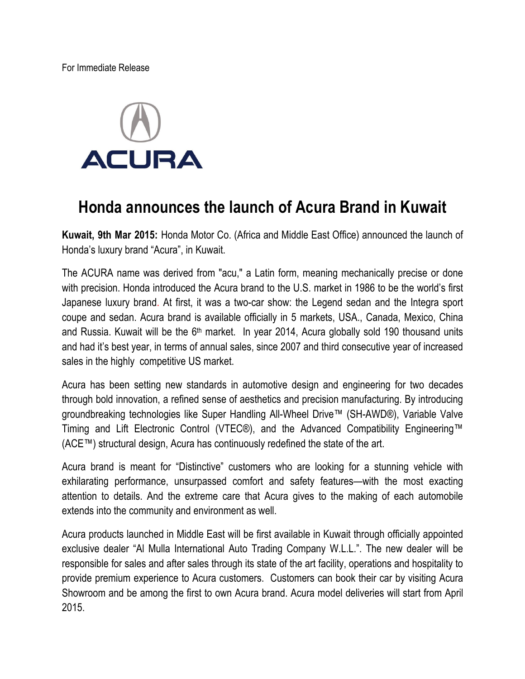For Immediate Release



# **Honda announces the launch of Acura Brand in Kuwait**

**Kuwait, 9th Mar 2015:** Honda Motor Co. (Africa and Middle East Office) announced the launch of Honda's luxury brand "Acura", in Kuwait.

The ACURA name was derived from "acu," a Latin form, meaning mechanically precise or done with precision. Honda introduced the Acura brand to the U.S. market in 1986 to be the world's first Japanese luxury brand. At first, it was a two-car show: the Legend sedan and the Integra sport coupe and sedan. Acura brand is available officially in 5 markets, USA., Canada, Mexico, China and Russia. Kuwait will be the 6<sup>th</sup> market. In year 2014, Acura globally sold 190 thousand units and had it's best year, in terms of annual sales, since 2007 and third consecutive year of increased sales in the highly competitive US market.

Acura has been setting new standards in automotive design and engineering for two decades through bold innovation, a refined sense of aesthetics and precision manufacturing. By introducing groundbreaking technologies like Super Handling All-Wheel Drive™ (SH-AWD®), Variable Valve Timing and Lift Electronic Control (VTEC®), and the Advanced Compatibility Engineering™ (ACE™) structural design, Acura has continuously redefined the state of the art.

Acura brand is meant for "Distinctive" customers who are looking for a stunning vehicle with exhilarating performance, unsurpassed comfort and safety features—with the most exacting attention to details. And the extreme care that Acura gives to the making of each automobile extends into the community and environment as well.

Acura products launched in Middle East will be first available in Kuwait through officially appointed exclusive dealer "Al Mulla International Auto Trading Company W.L.L.". The new dealer will be responsible for sales and after sales through its state of the art facility, operations and hospitality to provide premium experience to Acura customers. Customers can book their car by visiting Acura Showroom and be among the first to own Acura brand. Acura model deliveries will start from April 2015.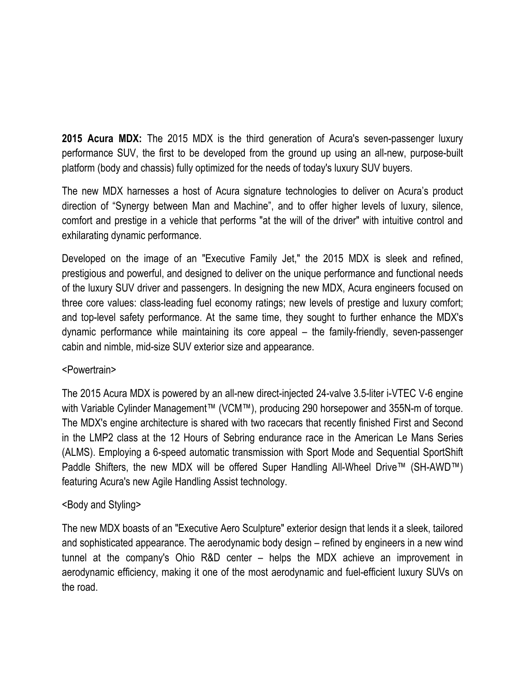**2015 Acura MDX:** The 2015 MDX is the third generation of Acura's seven-passenger luxury performance SUV, the first to be developed from the ground up using an all-new, purpose-built platform (body and chassis) fully optimized for the needs of today's luxury SUV buyers.

The new MDX harnesses a host of Acura signature technologies to deliver on Acura's product direction of "Synergy between Man and Machine", and to offer higher levels of luxury, silence, comfort and prestige in a vehicle that performs "at the will of the driver" with intuitive control and exhilarating dynamic performance.

Developed on the image of an "Executive Family Jet," the 2015 MDX is sleek and refined, prestigious and powerful, and designed to deliver on the unique performance and functional needs of the luxury SUV driver and passengers. In designing the new MDX, Acura engineers focused on three core values: class-leading fuel economy ratings; new levels of prestige and luxury comfort; and top-level safety performance. At the same time, they sought to further enhance the MDX's dynamic performance while maintaining its core appeal – the family-friendly, seven-passenger cabin and nimble, mid-size SUV exterior size and appearance.

## <Powertrain>

The 2015 Acura MDX is powered by an all-new direct-injected 24-valve 3.5-liter i-VTEC V-6 engine with Variable Cylinder Management™ (VCM™), producing 290 horsepower and 355N-m of torque. The MDX's engine architecture is shared with two racecars that recently finished First and Second in the LMP2 class at the 12 Hours of Sebring endurance race in the American Le Mans Series (ALMS). Employing a 6-speed automatic transmission with Sport Mode and Sequential SportShift Paddle Shifters, the new MDX will be offered Super Handling All-Wheel Drive™ (SH-AWD™) featuring Acura's new Agile Handling Assist technology.

## <Body and Styling>

The new MDX boasts of an "Executive Aero Sculpture" exterior design that lends it a sleek, tailored and sophisticated appearance. The aerodynamic body design – refined by engineers in a new wind tunnel at the company's Ohio R&D center – helps the MDX achieve an improvement in aerodynamic efficiency, making it one of the most aerodynamic and fuel-efficient luxury SUVs on the road.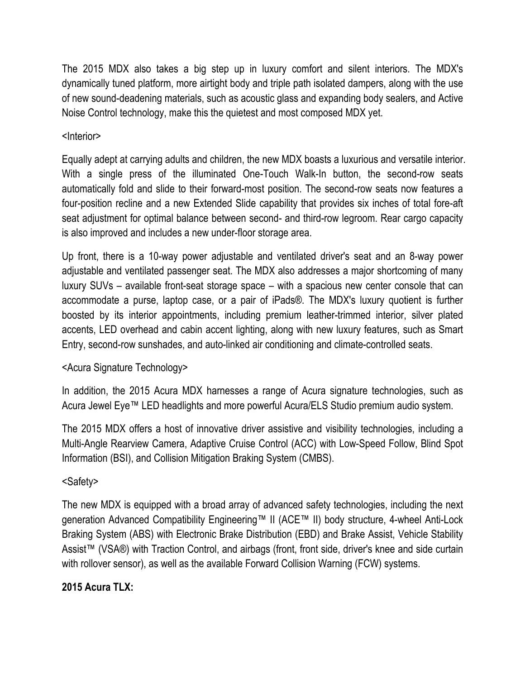The 2015 MDX also takes a big step up in luxury comfort and silent interiors. The MDX's dynamically tuned platform, more airtight body and triple path isolated dampers, along with the use of new sound-deadening materials, such as acoustic glass and expanding body sealers, and Active Noise Control technology, make this the quietest and most composed MDX yet.

#### <Interior>

Equally adept at carrying adults and children, the new MDX boasts a luxurious and versatile interior. With a single press of the illuminated One-Touch Walk-In button, the second-row seats automatically fold and slide to their forward-most position. The second-row seats now features a four-position recline and a new Extended Slide capability that provides six inches of total fore-aft seat adjustment for optimal balance between second- and third-row legroom. Rear cargo capacity is also improved and includes a new under-floor storage area.

Up front, there is a 10-way power adjustable and ventilated driver's seat and an 8-way power adjustable and ventilated passenger seat. The MDX also addresses a major shortcoming of many luxury SUVs – available front-seat storage space – with a spacious new center console that can accommodate a purse, laptop case, or a pair of iPads®. The MDX's luxury quotient is further boosted by its interior appointments, including premium leather-trimmed interior, silver plated accents, LED overhead and cabin accent lighting, along with new luxury features, such as Smart Entry, second-row sunshades, and auto-linked air conditioning and climate-controlled seats.

## <Acura Signature Technology>

In addition, the 2015 Acura MDX harnesses a range of Acura signature technologies, such as Acura Jewel Eye™ LED headlights and more powerful Acura/ELS Studio premium audio system.

The 2015 MDX offers a host of innovative driver assistive and visibility technologies, including a Multi-Angle Rearview Camera, Adaptive Cruise Control (ACC) with Low-Speed Follow, Blind Spot Information (BSI), and Collision Mitigation Braking System (CMBS).

#### <Safety>

The new MDX is equipped with a broad array of advanced safety technologies, including the next generation Advanced Compatibility Engineering™ II (ACE™ II) body structure, 4-wheel Anti-Lock Braking System (ABS) with Electronic Brake Distribution (EBD) and Brake Assist, Vehicle Stability Assist™ (VSA®) with Traction Control, and airbags (front, front side, driver's knee and side curtain with rollover sensor), as well as the available Forward Collision Warning (FCW) systems.

## **2015 Acura TLX:**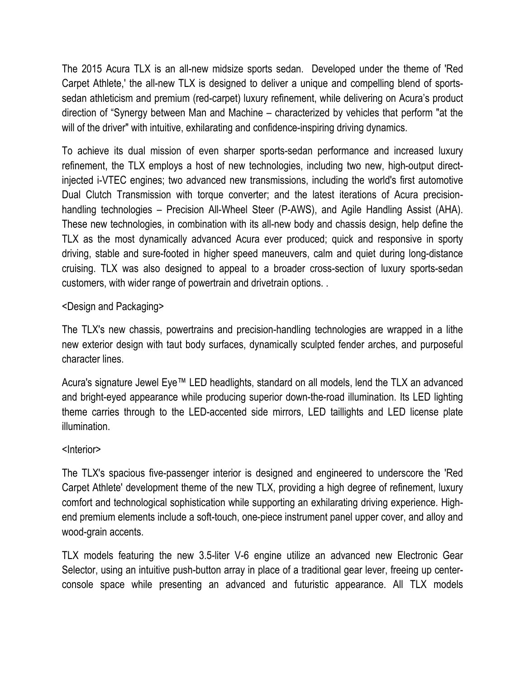The 2015 Acura TLX is an all-new midsize sports sedan. Developed under the theme of 'Red Carpet Athlete,' the all-new TLX is designed to deliver a unique and compelling blend of sportssedan athleticism and premium (red-carpet) luxury refinement, while delivering on Acura's product direction of "Synergy between Man and Machine – characterized by vehicles that perform "at the will of the driver" with intuitive, exhilarating and confidence-inspiring driving dynamics.

To achieve its dual mission of even sharper sports-sedan performance and increased luxury refinement, the TLX employs a host of new technologies, including two new, high-output directinjected i-VTEC engines; two advanced new transmissions, including the world's first automotive Dual Clutch Transmission with torque converter; and the latest iterations of Acura precisionhandling technologies – Precision All-Wheel Steer (P-AWS), and Agile Handling Assist (AHA). These new technologies, in combination with its all-new body and chassis design, help define the TLX as the most dynamically advanced Acura ever produced; quick and responsive in sporty driving, stable and sure-footed in higher speed maneuvers, calm and quiet during long-distance cruising. TLX was also designed to appeal to a broader cross-section of luxury sports-sedan customers, with wider range of powertrain and drivetrain options. .

## <Design and Packaging>

The TLX's new chassis, powertrains and precision-handling technologies are wrapped in a lithe new exterior design with taut body surfaces, dynamically sculpted fender arches, and purposeful character lines.

Acura's signature Jewel Eye™ LED headlights, standard on all models, lend the TLX an advanced and bright-eyed appearance while producing superior down-the-road illumination. Its LED lighting theme carries through to the LED-accented side mirrors, LED taillights and LED license plate illumination.

#### <Interior>

The TLX's spacious five-passenger interior is designed and engineered to underscore the 'Red Carpet Athlete' development theme of the new TLX, providing a high degree of refinement, luxury comfort and technological sophistication while supporting an exhilarating driving experience. Highend premium elements include a soft-touch, one-piece instrument panel upper cover, and alloy and wood-grain accents.

TLX models featuring the new 3.5-liter V-6 engine utilize an advanced new Electronic Gear Selector, using an intuitive push-button array in place of a traditional gear lever, freeing up centerconsole space while presenting an advanced and futuristic appearance. All TLX models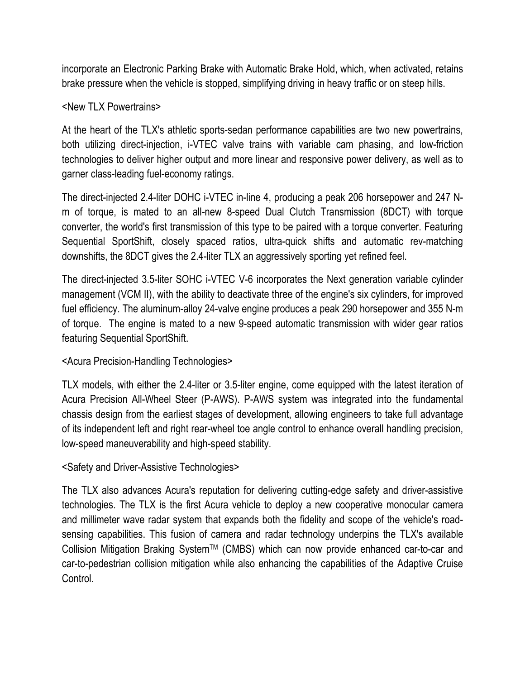incorporate an Electronic Parking Brake with Automatic Brake Hold, which, when activated, retains brake pressure when the vehicle is stopped, simplifying driving in heavy traffic or on steep hills.

#### <New TLX Powertrains>

At the heart of the TLX's athletic sports-sedan performance capabilities are two new powertrains, both utilizing direct-injection, i-VTEC valve trains with variable cam phasing, and low-friction technologies to deliver higher output and more linear and responsive power delivery, as well as to garner class-leading fuel-economy ratings.

The direct-injected 2.4-liter DOHC i-VTEC in-line 4, producing a peak 206 horsepower and 247 Nm of torque, is mated to an all-new 8-speed Dual Clutch Transmission (8DCT) with torque converter, the world's first transmission of this type to be paired with a torque converter. Featuring Sequential SportShift, closely spaced ratios, ultra-quick shifts and automatic rev-matching downshifts, the 8DCT gives the 2.4-liter TLX an aggressively sporting yet refined feel.

The direct-injected 3.5-liter SOHC i-VTEC V-6 incorporates the Next generation variable cylinder management (VCM II), with the ability to deactivate three of the engine's six cylinders, for improved fuel efficiency. The aluminum-alloy 24-valve engine produces a peak 290 horsepower and 355 N-m of torque. The engine is mated to a new 9-speed automatic transmission with wider gear ratios featuring Sequential SportShift.

## <Acura Precision-Handling Technologies>

TLX models, with either the 2.4-liter or 3.5-liter engine, come equipped with the latest iteration of Acura Precision All-Wheel Steer (P-AWS). P-AWS system was integrated into the fundamental chassis design from the earliest stages of development, allowing engineers to take full advantage of its independent left and right rear-wheel toe angle control to enhance overall handling precision, low-speed maneuverability and high-speed stability.

## <Safety and Driver-Assistive Technologies>

The TLX also advances Acura's reputation for delivering cutting-edge safety and driver-assistive technologies. The TLX is the first Acura vehicle to deploy a new cooperative monocular camera and millimeter wave radar system that expands both the fidelity and scope of the vehicle's roadsensing capabilities. This fusion of camera and radar technology underpins the TLX's available Collision Mitigation Braking System™ (CMBS) which can now provide enhanced car-to-car and car-to-pedestrian collision mitigation while also enhancing the capabilities of the Adaptive Cruise Control.